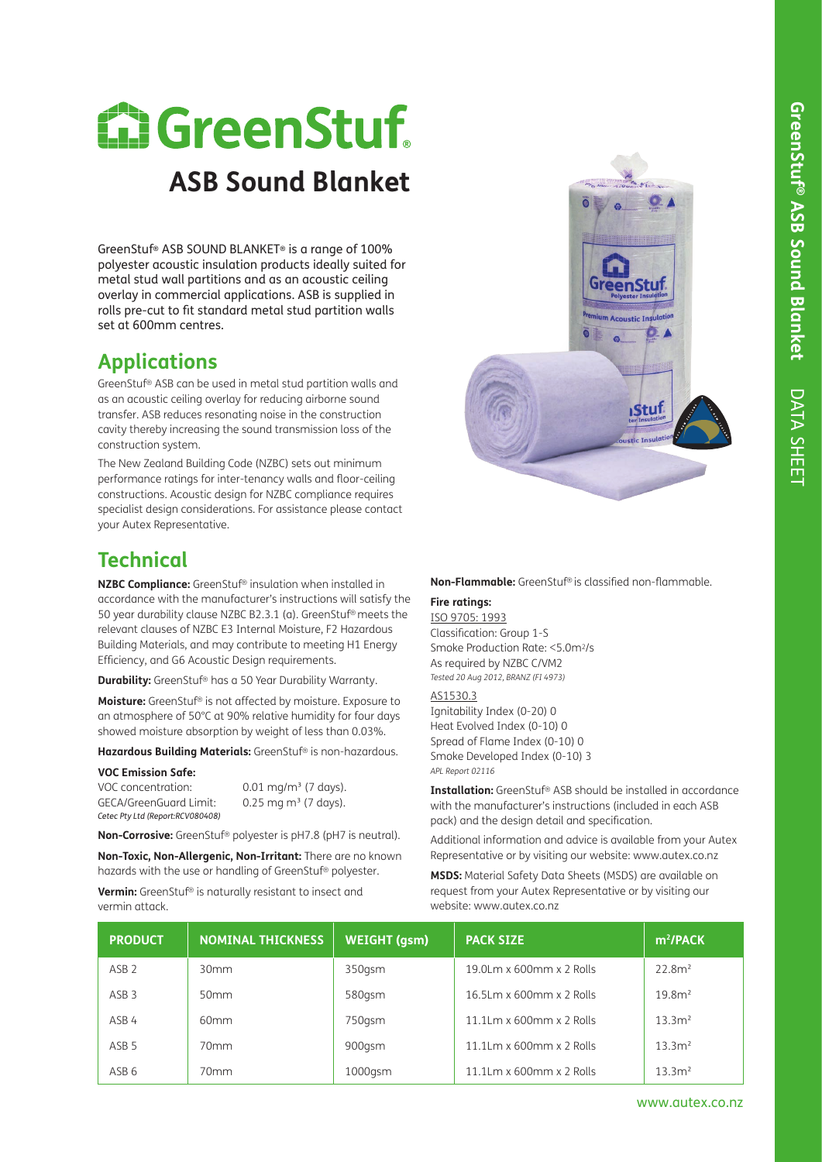# **E. GreenStuf. ASB Sound Blanket**

GreenStuf® ASB SOUND BLANKET® is a range of 100% polyester acoustic insulation products ideally suited for metal stud wall partitions and as an acoustic ceiling overlay in commercial applications. ASB is supplied in rolls pre-cut to fit standard metal stud partition walls set at 600mm centres.

## **Applications**

GreenStuf® ASB can be used in metal stud partition walls and as an acoustic ceiling overlay for reducing airborne sound transfer. ASB reduces resonating noise in the construction cavity thereby increasing the sound transmission loss of the construction system.

The New Zealand Building Code (NZBC) sets out minimum performance ratings for inter-tenancy walls and floor-ceiling constructions. Acoustic design for NZBC compliance requires specialist design considerations. For assistance please contact your Autex Representative.

## **Technical**

**NZBC Compliance:** GreenStuf® insulation when installed in accordance with the manufacturer's instructions will satisfy the 50 year durability clause NZBC B2.3.1 (a). GreenStuf® meets the relevant clauses of NZBC E3 Internal Moisture, F2 Hazardous Building Materials, and may contribute to meeting H1 Energy Efficiency, and G6 Acoustic Design requirements.

**Durability:** GreenStuf® has a 50 Year Durability Warranty.

**Moisture:** GreenStuf® is not affected by moisture. Exposure to an atmosphere of 50°C at 90% relative humidity for four days showed moisture absorption by weight of less than 0.03%.

**Hazardous Building Materials:** GreenStuf® is non-hazardous.

#### **VOC Emission Safe:**

VOC concentration:  $0.01 \text{ mg/m}^3$  (7 days). GECA/GreenGuard Limit: 0.25 mg m<sup>3</sup> (7 days). *Cetec Pty Ltd (Report:RCV080408)*

**Non-Corrosive:** GreenStuf® polyester is pH7.8 (pH7 is neutral).

**Non-Toxic, Non-Allergenic, Non-Irritant:** There are no known hazards with the use or handling of GreenStuf® polyester.

**Vermin:** GreenStuf® is naturally resistant to insect and vermin attack.



#### **Non-Flammable:** GreenStuf® is classified non-flammable.

### **Fire ratings:**

ISO 9705: 1993 Classification: Group 1-S Smoke Production Rate: <5.0m2/s As required by NZBC C/VM2 *Tested 20 Aug 2012, BRANZ (FI 4973)* 

AS1530.3

Ignitability Index (0-20) 0 Heat Evolved Index (0-10) 0 Spread of Flame Index (0-10) 0 Smoke Developed Index (0-10) 3 *APL Report 02116*

**Installation:** GreenStuf® ASB should be installed in accordance with the manufacturer's instructions (included in each ASB pack) and the design detail and specification.

Additional information and advice is available from your Autex Representative or by visiting our website: www.autex.co.nz

**MSDS:** Material Safety Data Sheets (MSDS) are available on request from your Autex Representative or by visiting our website: www.autex.co.nz

| <b>PRODUCT</b>   | <b>NOMINAL THICKNESS</b> | <b>WEIGHT (gsm)</b> | <b>PACK SIZE</b>                       | m <sup>2</sup> /PACK |
|------------------|--------------------------|---------------------|----------------------------------------|----------------------|
| ASB <sub>2</sub> | 30 <sub>mm</sub>         | 350gsm              | 19.0Lm $\times$ 600mm $\times$ 2 Rolls | 22.8 <sup>2</sup>    |
| ASB <sub>3</sub> | 50 <sub>mm</sub>         | 580gsm              | $16.5$ Lm x 600mm x 2 Rolls            | 19.8 <sup>2</sup>    |
| ASB 4            | 60mm                     | 750gsm              | $11.1$ Lm x 600mm x 2 Rolls            | 13.3 <sup>2</sup>    |
| ASB <sub>5</sub> | 70mm                     | 900gsm              | 11.1Lm $x$ 600mm $x$ 2 Rolls           | 13.3 <sup>2</sup>    |
| ASB <sub>6</sub> | 70mm                     | $1000$ gsm          | $11.1$ Lm x 600mm x 2 Rolls            | 13.3 <sup>2</sup>    |